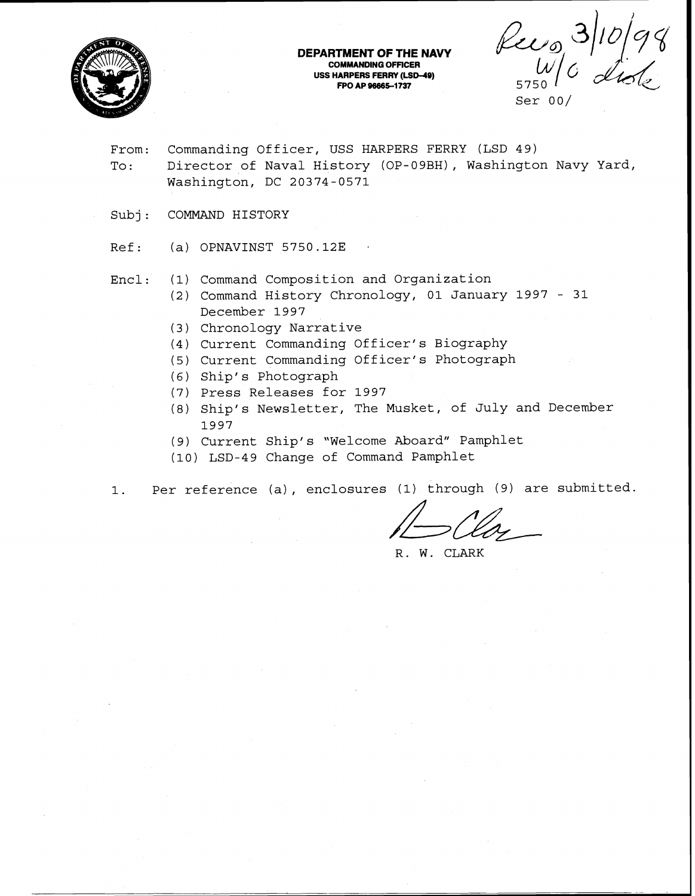

#### **DEPARTMENT OF THE NAVY COMMANDING OFFICER USS HARPERS FERRY (LSD-49) FO AP 96665-1737** 5750

Ser 00/

- From: Commanding Officer, USS HARPERS FERRY (LSD 49) To: Director of Naval History (OP-09BH), Washington Navy Yard, Washington, DC 20374-0571
- Subj: COMMAND HISTORY

 $Ref:$  (a) OPNAVINST 5750.12E

- Encl: (1) Command Composition and Organization
	- (2) Command History Chronology, 01 January 1997 31 December 1997
	- (3) Chronology Narrative
	- (4) Current Commanding Officer's Biography
	- (5) Current Commanding Officer's Photograph
	- *(6)* Ship' s Photograph
	- (7) Press Releases for 1997
	- (8) Ship's Newsletter, The Musket, of July and December 1997
	- (9) Current Ship' s "Welcome Aboard" Pamphlet
	- (10) LSD-49 Change of Command Pamphlet

1. Per reference (a) , enclosures (1) through (9) are submitted

R. W. CLARK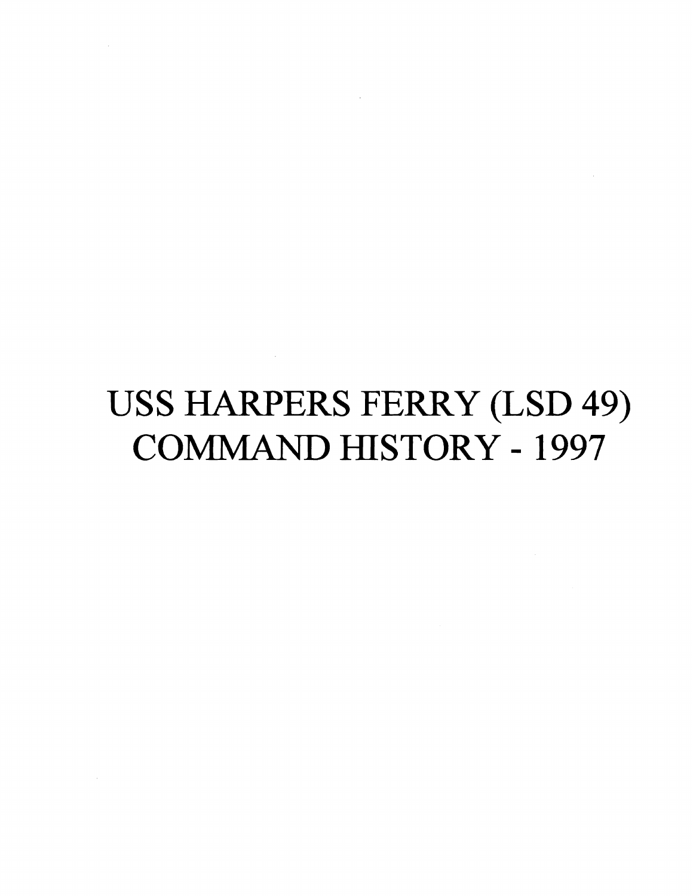# **USS** HARPERS FERRY (LSD 49) COMlMAND HISTORY - 1997

 $\mathcal{L}^{\text{max}}_{\text{max}}$ 

 $\mathcal{L}(\mathcal{A})$  and  $\mathcal{L}(\mathcal{A})$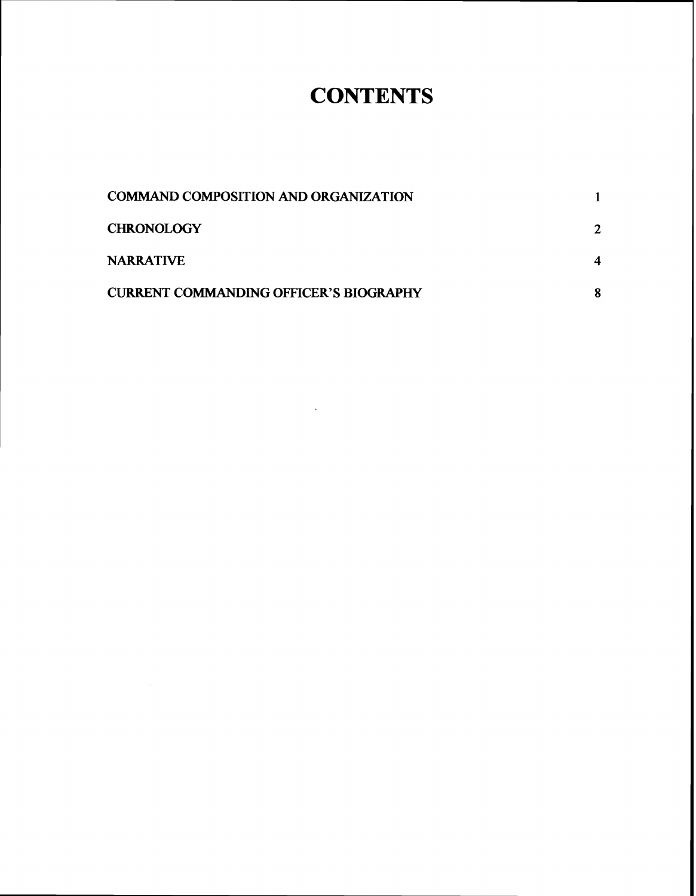## **CONTENTS**

| <b>COMMAND COMPOSITION AND ORGANIZATION</b>   |   |
|-----------------------------------------------|---|
| <b>CHRONOLOGY</b>                             |   |
| <b>NARRATIVE</b>                              |   |
| <b>CURRENT COMMANDING OFFICER'S BIOGRAPHY</b> | 8 |

 $\sim$  .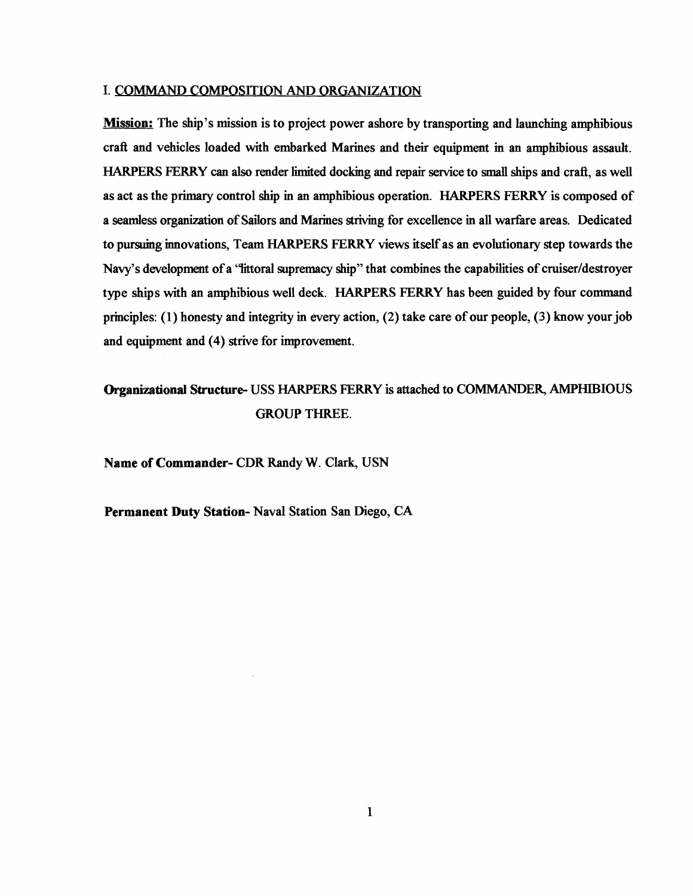## I. COMMAND COMPOSITION AND ORGANIZATION

**Mission:** The ship's mission is to project power ashore by transporting and launching amphibious craft and vehicles loaded with embarked Marines and their equipment in an amphibious assault. HARPERS FERRY can also render limited docking and repair service to small ships and crafi, as well as act as the primary control ship in an amphibious operation. HARPERS FERRY is composed of a seamless organization of Sailors and Marines striving for excellence in all warfare areas. Dedicated to pursuing innovations, Team HARPERS FERRY views itself as an evolutionary step towards the Navy's development of a 'littoral supremacy ship'' that combines the capabilities of cruiser/destroyer type ships with an amphibious well deck. HARPERS FERRY has been guided by four command principles: (1) honesty and integrity in every action, (2) take care of our people, (3) know your job and equipment and (4) strive for improvement.

## Organizational Structure- USS HARPERS FERRY is attached to COMMANDER, AMPHIBIOUS GROUP THREE.

Name of Commander- CDR Randy W. Clark, USN

Permanent **Duty** Station- Naval Station San Diego, CA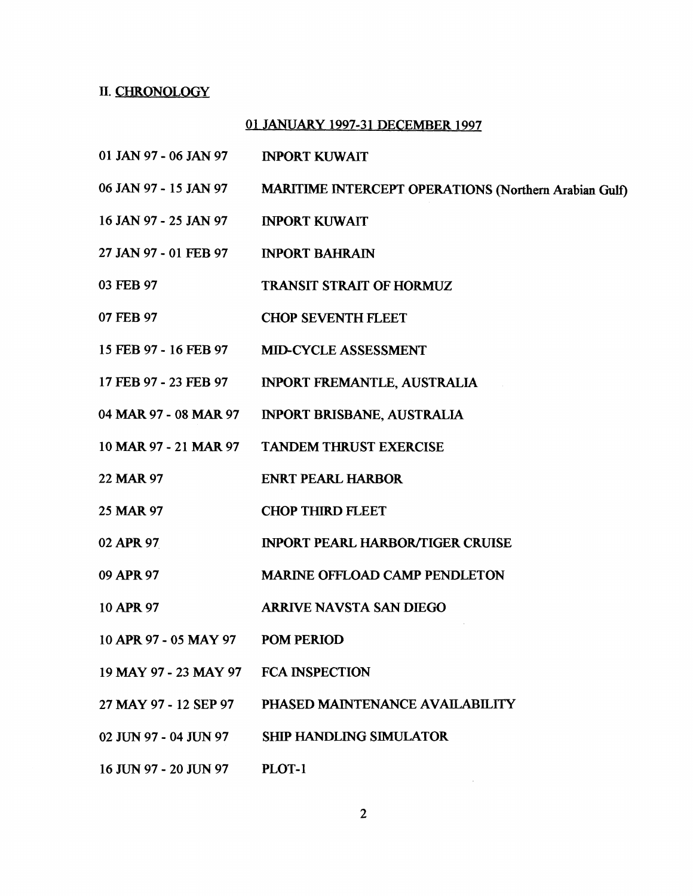## II. CHRONOLOGY

## 01 JANUARY 1997-31 DECEMBER 1997

- 01 JAN 97 06 JAN 97 INPORT KUWAIT
- 06 JAN 97 15 JAN 97 MARITIME INTERCEPT OPERATIONS (Northern Arabian Gulf)
- 16 JAN 97 25 JAN 97 INPORT KUWAIT
- 27 JAN 97 01 FEB 97 INPORT BAHRAIN
- 03 FEB 97 TRANSIT STRAIT OF HORMUZ
- 07 **FEB** 97 CHOP SEVENTH FLEET
- 15 **FEB** 97 16 FEB 97 MID-CYCLE ASSESSMENT
- 17 **FEB** 97 23 FEB 97 INPORT **FREMANTLE,** AUSTRALIA
- 04 MAR 97 08 MAR 97 INPORT BRISBANE, AUSTRALIA
- 10 MAR 97 21 MAR 97 TANDEM THRUST EXERCISE
- 22 MAR 97 ENRT PEARL HARBOR
- 25 MAR 97 CHOP THIRD FLEET
- 02 APR 97 INPORT PEARL HARBOR/TIGER CRUISE
- 09 APR 97 **MARWE** OFFLOAD CAMP PENDLETON
- 10 APR 97 ARRIVE NAVSTA SAN DIEGO
- 10 APR 97 05 MAY 97 POM PERIOD
- 19 MAY 97 23 MAY 97 FCA INSPECTION
- 27 MAY 97 12 SEP 97 PHASED MAINTENANCE AVAILABILlTY
- 02 JUN 97 04 JUN 97 SHIP HANDLING SIMULATOR
- 16 JUN 97 20 JUN 97 PLOT-1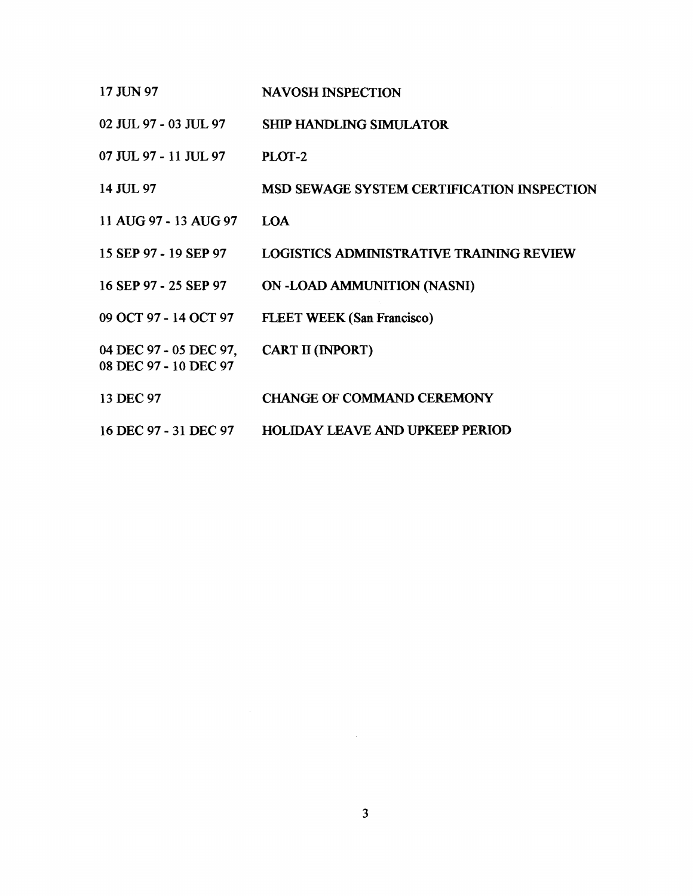| 17 JUN 97                                       | <b>NAVOSH INSPECTION</b>                        |
|-------------------------------------------------|-------------------------------------------------|
| 02 JUL 97 - 03 JUL 97                           | <b>SHIP HANDLING SIMULATOR</b>                  |
| 07 JUL 97 - 11 JUL 97                           | PLOT-2                                          |
| 14 JUL 97                                       | MSD SEWAGE SYSTEM CERTIFICATION INSPECTION      |
| 11 AUG 97 - 13 AUG 97                           | LOA                                             |
| 15 SEP 97 - 19 SEP 97                           | <b>LOGISTICS ADMINISTRATIVE TRAINING REVIEW</b> |
| 16 SEP 97 - 25 SEP 97                           | ON-LOAD AMMUNITION (NASNI)                      |
| 09 OCT 97 - 14 OCT 97                           | <b>FLEET WEEK (San Francisco)</b>               |
| 04 DEC 97 - 05 DEC 97,<br>08 DEC 97 - 10 DEC 97 | <b>CART II (INPORT)</b>                         |
| 13 DEC 97                                       | <b>CHANGE OF COMMAND CEREMONY</b>               |
| 16 DEC 97 - 31 DEC 97                           | <b>HOLIDAY LEAVE AND UPKEEP PERIOD</b>          |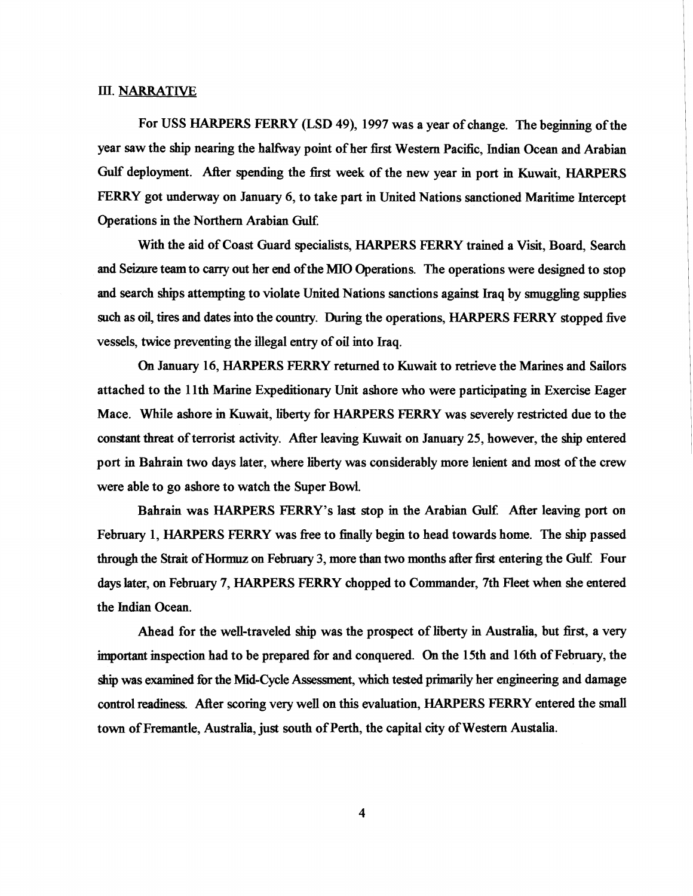## **III.** NARRATIVE

For USS HARPERS **FERRY** (LSD 49), 1997 was a year of change. The beginning of the year saw the ship nearing the halfway point of her first Western Pacific, Indian Ocean and Arabian Gulf deployment. After spending the fist week of the new year in port in Kuwait, HARPERS FERRY got underway on January 6, to take part in United Nations sanctioned Maritime Intercept Operations in the Northern Arabian **Gulf.** 

With the aid of Coast Guard specialists, HARPERS FERRY trained a Visit, Board, Search and Seizure team to carry out her end of the MIO Operations. The operations were designed to stop and search ships attempting to violate United Nations sanctions against Iraq by smuggling supplies such as oil, tires and dates into the country. During the operations, HARPERS FERRY stopped five vessels, twice preventing the illegal entry of oil into Iraq.

**On** January 16, HARPERS **FERRY** returned to Kuwait to retrieve the Marines and Sailors attached to the 1 lth Marine Expeditionary Unit ashore who were participating in Exercise Eager Mace. While ashore in Kuwait, liberty for HARPERS FERRY was severely restricted due to the constant threat of terrorist activity. After leaving Kuwait on January 25, however, the ship entered port in Bahrain two days later, where liberty was considerably more lenient and most of the crew were able to go ashore to watch the Super Bowl.

Bahrain was HARPERS FERRY's last stop in the Arabian Gulf. After leaving port on February 1, HARPERS **FERRY** was fiee to fhally begin to head towards home. The ship passed through the Strait of Hormuz on February 3, more than two months after first entering the Gulf. Four days later, on February 7, HARPERS FERRY chopped to Commander, 7th Fleet when she entered the **Jndian** Ocean.

Ahead for the well-traveled ship was the prospect of hierty in Australia, but first, a very important inspection had to be prepared for and conquered. **On** the 15th and 16th of February, the ship was examined for the Mid-Cycle Assessment, which tested primarily her engineering and damage control readiness. After scoring very well on this evaluation, HARPERS FERRY entered the small town of Fremantle, Australia, just south of **Perth,** the capital city of Western Austalia.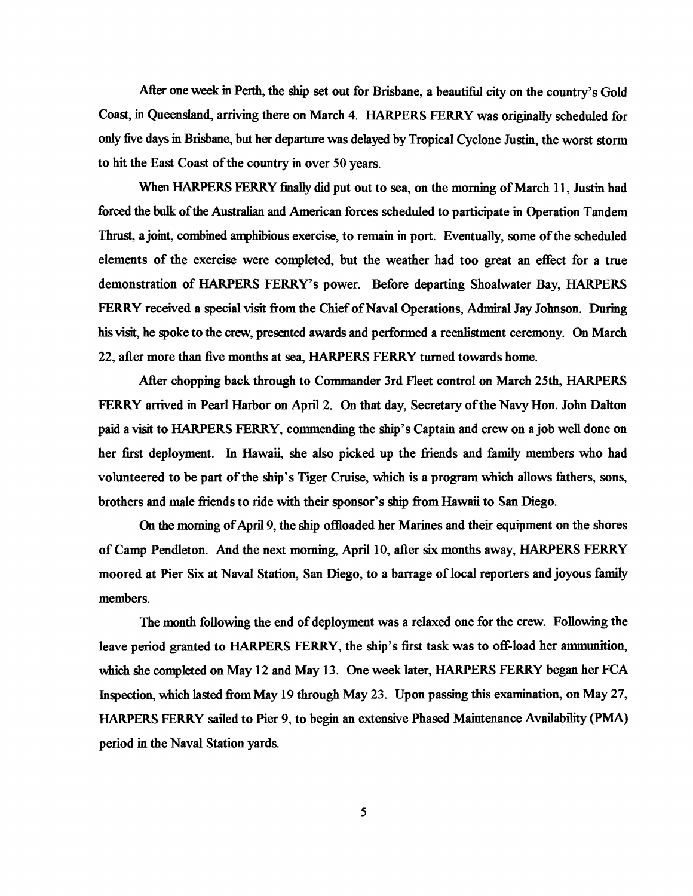After one week in Perth, the ship set out for Brisbane, a beautifid city on the country's Gold Coast, in Queensland, arriving there on March 4. HARPERS FERRY was originally scheduled for only five days in Brisbane, but her departure was delayed by Tropical Cyclone Justin, the worst stom to hit the East Coast of the country in over 50 years.

When HARPERS FERRY **finally** did put out to sea, on the morning of March 1 **1,** Justin had forced the bulk of the Australian and American forces scheduled to participate in Operation Tandem Thrust, a jomt, **combined** amphibious exercise, to remain in port. Eventually, some of the scheduled elements of the exercise were completed, but the weather had too great an effect for a true demonstration of HARPERS FERRY'S power. Before departing Shoalwater Bay, HARPERS FERRY received a special visit fiom the Chief of Naval Operations, Admiral Jay Johnson. During his visit, he spoke to the crew, presented awards and performed a reenlistment ceremony. On March 22, after more than five months at sea, HARPERS FERRY turned towards home.

After chopping back through to Commander 3rd Fleet control on March 25th, HARPERS FERRY arrived in Pearl Harbor on April 2. **On** that day, Secretary of the Navy Hon. John Dalton paid a visit to HARPERS FERRY, commending the ship's Captain and crew on a job well done on her first deployment. In Hawaii, she also picked up the friends and family members who had volunteered to be part of the ship's Tiger Cruise, which is a program which allows fathers, sons, brothers and male friends to ride with their sponsor's **ship** fiom Hawaii to San Diego.

**On** the morning of **April** 9, the ship offloaded her Marines and their equipment on the shores of Camp Pendleton. And the next morning, April 10, after six months away, HARPERS FERRY moored at Pier Six at Naval Station, San Diego, to a barrage of local reporters and joyous family members.

The month following the end of deployment was a relaxed one for the crew. Following the leave period granted to HARPERS FERRY, the ship's first task was to off-load her ammunition, which she completed on May 12 and May 13. One week later, HARPERS FERRY began her FCA Inspection, which lasted fiom May 19 through May 23. Upon passing this examination, on May 27, HARPERS FERRY sailed to Pier 9, to begin an extensive Phased Maintenance Availability (PMA) period in the Naval Station yards.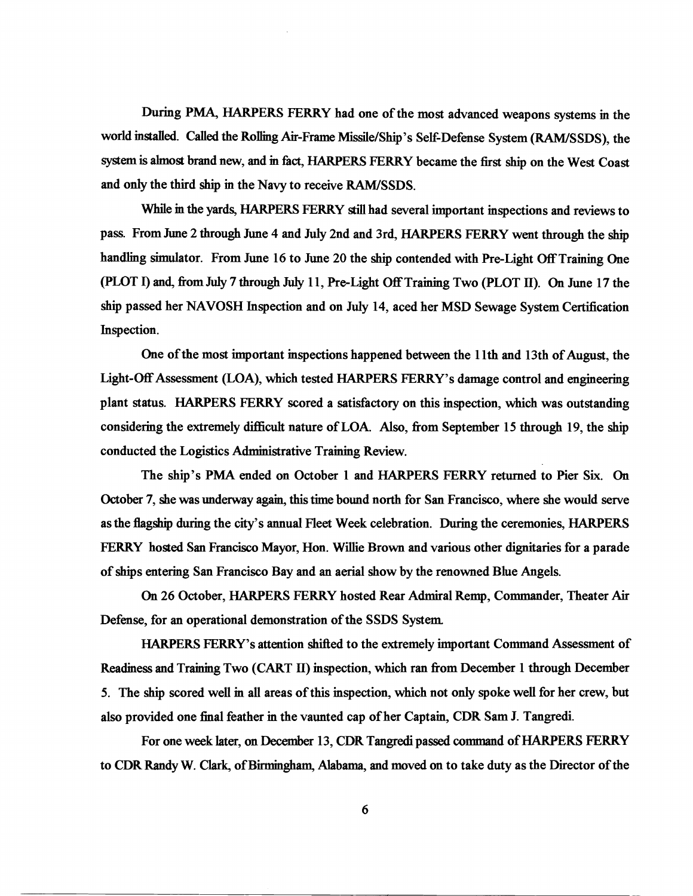During PMA, HARPERS FERRY had one of the most advanced weapons systems **m** the world **installed.** Called the Rolling Air-Frame Missile/Ship's Self-Defense System (RAMISSDS), the system is almost brand new, and in fact, HARPERS FERRY became the first ship on the West Coast and only the third ship in the Navy to receive RAM/SSDS.

While **m** the yards, HARPERS FERRY still had several important inspections and reviews to pass. From June *2* through June 4 and July 2nd and 3rd, HARPERS FERRY went through the **shrp**  handling simulator. From June 16 to June 20 the ship contended with Pre-Light Off Training One (PLOT I) and, fiom July 7 through *Jdy* 1 1, PreLight Off Training Two (PLOT **II).** On June 17 the ship passed her NAVOSH Inspection and on July 14, aced her MSD Sewage System Certification Inspection.

One of the most important inspections happened between the 1 lth and 13th of August, the Light-Off Assessment (LOA), which tested HARPERS FERRY'S damage control and engineering plant status. HARPERS FERRY scored a satisfactory on this inspection, which was outstanding considering the extremely diflicdt nature of LOA. Also, fiom September 15 through 19, the ship conducted the Logistics Administrative Training Review.

The ship's PMA ended on October 1 and HARPERS FERRY returned to Pier Six. On October 7, she was underway again, this time bound north for San Francisco, where she would serve as the hgship during the city's annual Fleet Week celebration. Dwing the ceremonies, HARPERS FERRY hosted San Francisco Mayor, Hon. Willie Brown and various other dignitaries for a parade of ships entering San Francisco Bay and an aerial show by the renowned Blue Angels.

On *26* October, HARPERS FERRY hosted Rear Admiral Remp, Commander, Theater Air Defense, for an operational demonstration of the SSDS System

HARPERS FERRY's attention shifted to the extremely important Command Assessment of Readiness and Training Two (CART **11)** inspection, which ran fiom December 1 through December 5. The ship scored well **m** all areas of this inspection, which not only spoke well for her crew, but also provided one **ha1** feather in the vaunted cap of her Captain, CDR Sam J. Tangredi.

For one week later, on December 13, CDR **Tangredi** passed **command** of HARPERS FERRY to CDR **Randy** W. **Clark,** of **Birmingham,** Alabama, and moved on to take duty as the Director of the